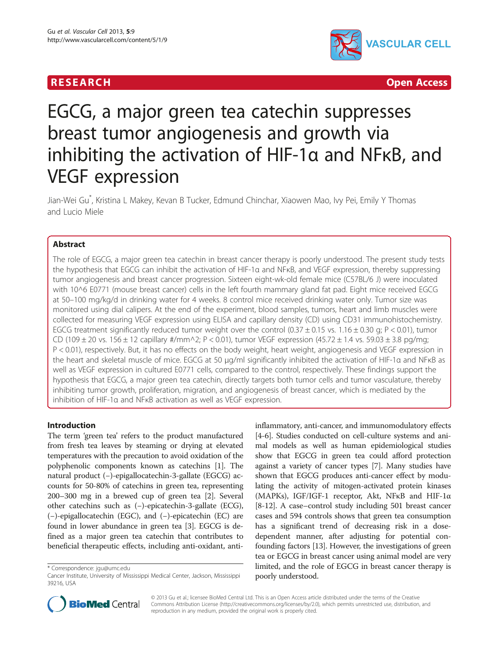# **RESEARCH CHEAR CHEAR CHEAR CHEAR CHEAR CHEAR CHEAR CHEAR CHEAR CHEAR CHEAR CHEAR CHEAR CHEAR CHEAR CHEAR CHEAR**



# EGCG, a major green tea catechin suppresses breast tumor angiogenesis and growth via inhibiting the activation of HIF-1α and NFκB, and VEGF expression

Jian-Wei Gu\* , Kristina L Makey, Kevan B Tucker, Edmund Chinchar, Xiaowen Mao, Ivy Pei, Emily Y Thomas and Lucio Miele

# Abstract

The role of EGCG, a major green tea catechin in breast cancer therapy is poorly understood. The present study tests the hypothesis that EGCG can inhibit the activation of HIF-1α and NFκB, and VEGF expression, thereby suppressing tumor angiogenesis and breast cancer progression. Sixteen eight-wk-old female mice (C57BL/6 J) were inoculated with 10^6 E0771 (mouse breast cancer) cells in the left fourth mammary gland fat pad. Eight mice received EGCG at 50–100 mg/kg/d in drinking water for 4 weeks. 8 control mice received drinking water only. Tumor size was monitored using dial calipers. At the end of the experiment, blood samples, tumors, heart and limb muscles were collected for measuring VEGF expression using ELISA and capillary density (CD) using CD31 immunohistochemistry. EGCG treatment significantly reduced tumor weight over the control  $(0.37 \pm 0.15 \text{ vs. } 1.16 \pm 0.30 \text{ g}; P < 0.01)$ , tumor CD (109  $\pm$  20 vs. 156  $\pm$  12 capillary #/mm^2; P < 0.01), tumor VEGF expression (45.72  $\pm$  1.4 vs. 59.03  $\pm$  3.8 pg/mg; P < 0.01), respectively. But, it has no effects on the body weight, heart weight, angiogenesis and VEGF expression in the heart and skeletal muscle of mice. EGCG at 50 μg/ml significantly inhibited the activation of HIF-1α and NFκB as well as VEGF expression in cultured E0771 cells, compared to the control, respectively. These findings support the hypothesis that EGCG, a major green tea catechin, directly targets both tumor cells and tumor vasculature, thereby inhibiting tumor growth, proliferation, migration, and angiogenesis of breast cancer, which is mediated by the inhibition of HIF-1α and NFκB activation as well as VEGF expression.

# Introduction

The term 'green tea' refers to the product manufactured from fresh tea leaves by steaming or drying at elevated temperatures with the precaution to avoid oxidation of the polyphenolic components known as catechins [\[1](#page-8-0)]. The natural product (−)-epigallocatechin-3-gallate (EGCG) accounts for 50-80% of catechins in green tea, representing 200–300 mg in a brewed cup of green tea [\[2](#page-8-0)]. Several other catechins such as (−)-epicatechin-3-gallate (ECG), (−)-epigallocatechin (EGC), and (−)-epicatechin (EC) are found in lower abundance in green tea [[3\]](#page-8-0). EGCG is defined as a major green tea catechin that contributes to beneficial therapeutic effects, including anti-oxidant, anti-

\* Correspondence: [jgu@umc.edu](mailto:jgu@umc.edu)

inflammatory, anti-cancer, and immunomodulatory effects [[4-6\]](#page-8-0). Studies conducted on cell-culture systems and animal models as well as human epidemiological studies show that EGCG in green tea could afford protection against a variety of cancer types [[7\]](#page-8-0). Many studies have shown that EGCG produces anti-cancer effect by modulating the activity of mitogen-activated protein kinases (MAPKs), IGF/IGF-1 receptor, Akt, NFκB and HIF-1α [[8-12\]](#page-8-0). A case–control study including 501 breast cancer cases and 594 controls shows that green tea consumption has a significant trend of decreasing risk in a dosedependent manner, after adjusting for potential confounding factors [\[13\]](#page-8-0). However, the investigations of green tea or EGCG in breast cancer using animal model are very limited, and the role of EGCG in breast cancer therapy is poorly understood.



© 2013 Gu et al.; licensee BioMed Central Ltd. This is an Open Access article distributed under the terms of the Creative Commons Attribution License [\(http://creativecommons.org/licenses/by/2.0\)](http://creativecommons.org/licenses/by/2.0), which permits unrestricted use, distribution, and reproduction in any medium, provided the original work is properly cited.

Cancer Institute, University of Mississippi Medical Center, Jackson, Mississippi 39216, USA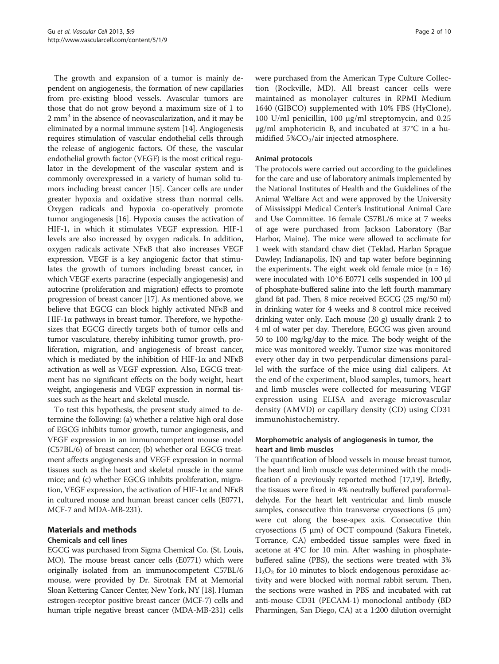The growth and expansion of a tumor is mainly dependent on angiogenesis, the formation of new capillaries from pre-existing blood vessels. Avascular tumors are those that do not grow beyond a maximum size of 1 to 2 mm<sup>3</sup> in the absence of neovascularization, and it may be eliminated by a normal immune system [\[14](#page-8-0)]. Angiogenesis requires stimulation of vascular endothelial cells through the release of angiogenic factors. Of these, the vascular endothelial growth factor (VEGF) is the most critical regulator in the development of the vascular system and is commonly overexpressed in a variety of human solid tumors including breast cancer [\[15\]](#page-8-0). Cancer cells are under greater hypoxia and oxidative stress than normal cells. Oxygen radicals and hypoxia co-operatively promote tumor angiogenesis [\[16\]](#page-8-0). Hypoxia causes the activation of HIF-1, in which it stimulates VEGF expression. HIF-1 levels are also increased by oxygen radicals. In addition, oxygen radicals activate NFκB that also increases VEGF expression. VEGF is a key angiogenic factor that stimulates the growth of tumors including breast cancer, in which VEGF exerts paracrine (especially angiogenesis) and autocrine (proliferation and migration) effects to promote progression of breast cancer [\[17\]](#page-8-0). As mentioned above, we believe that EGCG can block highly activated NFκB and HIF-1α pathways in breast tumor. Therefore, we hypothesizes that EGCG directly targets both of tumor cells and tumor vasculature, thereby inhibiting tumor growth, proliferation, migration, and angiogenesis of breast cancer, which is mediated by the inhibition of HIF-1α and NFκB activation as well as VEGF expression. Also, EGCG treatment has no significant effects on the body weight, heart weight, angiogenesis and VEGF expression in normal tissues such as the heart and skeletal muscle.

To test this hypothesis, the present study aimed to determine the following: (a) whether a relative high oral dose of EGCG inhibits tumor growth, tumor angiogenesis, and VEGF expression in an immunocompetent mouse model (C57BL/6) of breast cancer; (b) whether oral EGCG treatment affects angiogenesis and VEGF expression in normal tissues such as the heart and skeletal muscle in the same mice; and (c) whether EGCG inhibits proliferation, migration, VEGF expression, the activation of HIF-1α and NFκB in cultured mouse and human breast cancer cells (E0771, MCF-7 and MDA-MB-231).

# Materials and methods

# Chemicals and cell lines

EGCG was purchased from Sigma Chemical Co. (St. Louis, MO). The mouse breast cancer cells (E0771) which were originally isolated from an immunocompetent C57BL/6 mouse, were provided by Dr. Sirotnak FM at Memorial Sloan Kettering Cancer Center, New York, NY [[18](#page-8-0)]. Human estrogen-receptor positive breast cancer (MCF-7) cells and human triple negative breast cancer (MDA-MB-231) cells were purchased from the American Type Culture Collection (Rockville, MD). All breast cancer cells were maintained as monolayer cultures in RPMI Medium 1640 (GIBCO) supplemented with 10% FBS (HyClone), 100 U/ml penicillin, 100 μg/ml streptomycin, and 0.25 μg/ml amphotericin B, and incubated at 37°C in a humidified  $5\%CO<sub>2</sub>/air$  injected atmosphere.

## Animal protocols

The protocols were carried out according to the guidelines for the care and use of laboratory animals implemented by the National Institutes of Health and the Guidelines of the Animal Welfare Act and were approved by the University of Mississippi Medical Center's Institutional Animal Care and Use Committee. 16 female C57BL/6 mice at 7 weeks of age were purchased from Jackson Laboratory (Bar Harbor, Maine). The mice were allowed to acclimate for 1 week with standard chaw diet (Teklad, Harlan Sprague Dawley; Indianapolis, IN) and tap water before beginning the experiments. The eight week old female mice  $(n = 16)$ were inoculated with 10^6 E0771 cells suspended in 100 μl of phosphate-buffered saline into the left fourth mammary gland fat pad. Then, 8 mice received EGCG (25 mg/50 ml) in drinking water for 4 weeks and 8 control mice received drinking water only. Each mouse (20 g) usually drank 2 to 4 ml of water per day. Therefore, EGCG was given around 50 to 100 mg/kg/day to the mice. The body weight of the mice was monitored weekly. Tumor size was monitored every other day in two perpendicular dimensions parallel with the surface of the mice using dial calipers. At the end of the experiment, blood samples, tumors, heart and limb muscles were collected for measuring VEGF expression using ELISA and average microvascular density (AMVD) or capillary density (CD) using CD31 immunohistochemistry.

# Morphometric analysis of angiogenesis in tumor, the heart and limb muscles

The quantification of blood vessels in mouse breast tumor, the heart and limb muscle was determined with the modification of a previously reported method [\[17,19\]](#page-8-0). Briefly, the tissues were fixed in 4% neutrally buffered paraformaldehyde. For the heart left ventricular and limb muscle samples, consecutive thin transverse cryosections  $(5 \mu m)$ were cut along the base-apex axis. Consecutive thin cryosections (5 μm) of OCT compound (Sakura Finetek, Torrance, CA) embedded tissue samples were fixed in acetone at 4°C for 10 min. After washing in phosphatebuffered saline (PBS), the sections were treated with 3%  $H<sub>2</sub>O<sub>2</sub>$  for 10 minutes to block endogenous peroxidase activity and were blocked with normal rabbit serum. Then, the sections were washed in PBS and incubated with rat anti-mouse CD31 (PECAM-1) monoclonal antibody (BD Pharmingen, San Diego, CA) at a 1:200 dilution overnight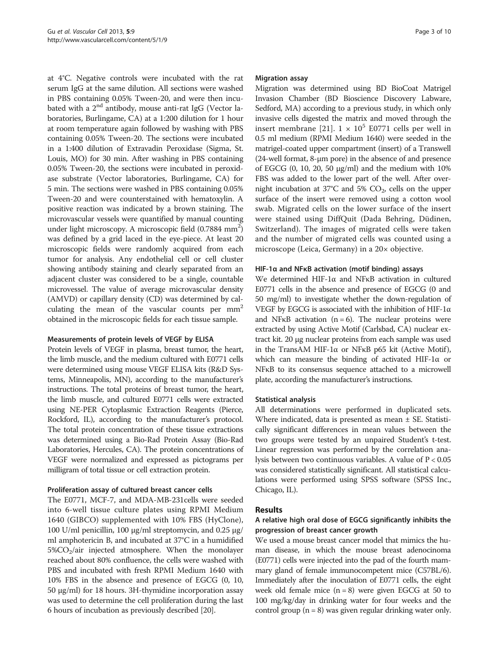at 4°C. Negative controls were incubated with the rat serum IgG at the same dilution. All sections were washed in PBS containing 0.05% Tween-20, and were then incubated with a  $2^{nd}$  antibody, mouse anti-rat IgG (Vector laboratories, Burlingame, CA) at a 1:200 dilution for 1 hour at room temperature again followed by washing with PBS containing 0.05% Tween-20. The sections were incubated in a 1:400 dilution of Extravadin Peroxidase (Sigma, St. Louis, MO) for 30 min. After washing in PBS containing 0.05% Tween-20, the sections were incubated in peroxidase substrate (Vector laboratories, Burlingame, CA) for 5 min. The sections were washed in PBS containing 0.05% Tween-20 and were counterstained with hematoxylin. A positive reaction was indicated by a brown staining. The microvascular vessels were quantified by manual counting under light microscopy. A microscopic field (0.7884 mm<sup>2</sup>) was defined by a grid laced in the eye-piece. At least 20 microscopic fields were randomly acquired from each tumor for analysis. Any endothelial cell or cell cluster showing antibody staining and clearly separated from an adjacent cluster was considered to be a single, countable microvessel. The value of average microvascular density (AMVD) or capillary density (CD) was determined by calculating the mean of the vascular counts per  $mm<sup>2</sup>$ obtained in the microscopic fields for each tissue sample.

# Measurements of protein levels of VEGF by ELISA

Protein levels of VEGF in plasma, breast tumor, the heart, the limb muscle, and the medium cultured with E0771 cells were determined using mouse VEGF ELISA kits (R&D Systems, Minneapolis, MN), according to the manufacturer's instructions. The total proteins of breast tumor, the heart, the limb muscle, and cultured E0771 cells were extracted using NE-PER Cytoplasmic Extraction Reagents (Pierce, Rockford, IL), according to the manufacturer's protocol. The total protein concentration of these tissue extractions was determined using a Bio-Rad Protein Assay (Bio-Rad Laboratories, Hercules, CA). The protein concentrations of VEGF were normalized and expressed as pictograms per milligram of total tissue or cell extraction protein.

# Proliferation assay of cultured breast cancer cells

The E0771, MCF-7, and MDA-MB-231cells were seeded into 6-well tissue culture plates using RPMI Medium 1640 (GIBCO) supplemented with 10% FBS (HyClone), 100 U/ml penicillin, 100 μg/ml streptomycin, and 0.25 μg/ ml amphotericin B, and incubated at 37°C in a humidified  $5\%CO<sub>2</sub>/air$  injected atmosphere. When the monolayer reached about 80% confluence, the cells were washed with PBS and incubated with fresh RPMI Medium 1640 with 10% FBS in the absence and presence of EGCG (0, 10, 50 μg/ml) for 18 hours. 3H-thymidine incorporation assay was used to determine the cell proliferation during the last 6 hours of incubation as previously described [[20](#page-8-0)].

## Migration assay

Migration was determined using BD BioCoat Matrigel Invasion Chamber (BD Bioscience Discovery Labware, Sedford, MA) according to a previous study, in which only invasive cells digested the matrix and moved through the insert membrane [\[21\]](#page-8-0).  $1 \times 10^5$  E0771 cells per well in 0.5 ml medium (RPMI Medium 1640) were seeded in the matrigel-coated upper compartment (insert) of a Transwell (24-well format, 8-μm pore) in the absence of and presence of EGCG (0, 10, 20, 50 μg/ml) and the medium with 10% FBS was added to the lower part of the well. After overnight incubation at  $37^{\circ}$ C and  $5\%$  CO<sub>2</sub>, cells on the upper surface of the insert were removed using a cotton wool swab. Migrated cells on the lower surface of the insert were stained using DiffQuit (Dada Behring, Düdinen, Switzerland). The images of migrated cells were taken and the number of migrated cells was counted using a microscope (Leica, Germany) in a 20× objective.

## HIF-1α and NFκB activation (motif binding) assays

We determined HIF-1α and NFκB activation in cultured E0771 cells in the absence and presence of EGCG (0 and 50 mg/ml) to investigate whether the down-regulation of VEGF by EGCG is associated with the inhibition of HIF-1α and NF $\kappa$ B activation (n = 6). The nuclear proteins were extracted by using Active Motif (Carlsbad, CA) nuclear extract kit. 20 μg nuclear proteins from each sample was used in the TransAM HIF-1α or NFκB p65 kit (Active Motif), which can measure the binding of activated HIF-1α or NFκB to its consensus sequence attached to a microwell plate, according the manufacturer's instructions.

## Statistical analysis

All determinations were performed in duplicated sets. Where indicated, data is presented as mean  $\pm$  SE. Statistically significant differences in mean values between the two groups were tested by an unpaired Student's t-test. Linear regression was performed by the correlation analysis between two continuous variables. A value of P < 0.05 was considered statistically significant. All statistical calculations were performed using SPSS software (SPSS Inc., Chicago, IL).

## Results

# A relative high oral dose of EGCG significantly inhibits the progression of breast cancer growth

We used a mouse breast cancer model that mimics the human disease, in which the mouse breast adenocinoma (E0771) cells were injected into the pad of the fourth mammary gland of female immunocompetent mice (C57BL/6). Immediately after the inoculation of E0771 cells, the eight week old female mice  $(n = 8)$  were given EGCG at 50 to 100 mg/kg/day in drinking water for four weeks and the control group  $(n = 8)$  was given regular drinking water only.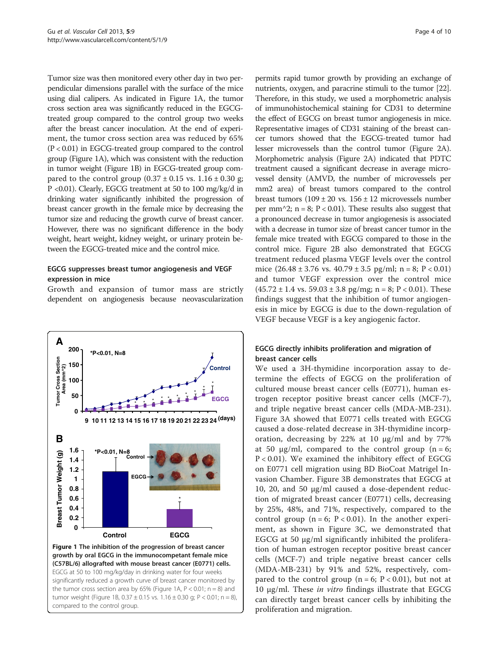Tumor size was then monitored every other day in two perpendicular dimensions parallel with the surface of the mice using dial calipers. As indicated in Figure 1A, the tumor cross section area was significantly reduced in the EGCGtreated group compared to the control group two weeks after the breast cancer inoculation. At the end of experiment, the tumor cross section area was reduced by 65% (P < 0.01) in EGCG-treated group compared to the control group (Figure 1A), which was consistent with the reduction in tumor weight (Figure 1B) in EGCG-treated group compared to the control group  $(0.37 \pm 0.15 \text{ vs. } 1.16 \pm 0.30 \text{ g})$ ; P <0.01). Clearly, EGCG treatment at 50 to 100 mg/kg/d in drinking water significantly inhibited the progression of breast cancer growth in the female mice by decreasing the tumor size and reducing the growth curve of breast cancer. However, there was no significant difference in the body weight, heart weight, kidney weight, or urinary protein between the EGCG-treated mice and the control mice.

# EGCG suppresses breast tumor angiogenesis and VEGF expression in mice

Growth and expansion of tumor mass are strictly dependent on angiogenesis because neovascularization



permits rapid tumor growth by providing an exchange of nutrients, oxygen, and paracrine stimuli to the tumor [\[22](#page-8-0)]. Therefore, in this study, we used a morphometric analysis of immunohistochemical staining for CD31 to determine the effect of EGCG on breast tumor angiogenesis in mice. Representative images of CD31 staining of the breast cancer tumors showed that the EGCG-treated tumor had lesser microvessels than the control tumor (Figure [2A](#page-4-0)). Morphometric analysis (Figure [2A](#page-4-0)) indicated that PDTC treatment caused a significant decrease in average microvessel density (AMVD, the number of microvessels per mm2 area) of breast tumors compared to the control breast tumors  $(109 \pm 20 \text{ vs. } 156 \pm 12 \text{ microversels number})$ per mm^2; n = 8;  $P < 0.01$ ). These results also suggest that a pronounced decrease in tumor angiogenesis is associated with a decrease in tumor size of breast cancer tumor in the female mice treated with EGCG compared to those in the control mice. Figure [2B](#page-4-0) also demonstrated that EGCG treatment reduced plasma VEGF levels over the control mice  $(26.48 \pm 3.76 \text{ vs. } 40.79 \pm 3.5 \text{ pg/ml}; \text{ n} = 8; \text{ P} < 0.01)$ and tumor VEGF expression over the control mice  $(45.72 \pm 1.4 \text{ vs. } 59.03 \pm 3.8 \text{ pg/mg}; n = 8; P < 0.01)$ . These findings suggest that the inhibition of tumor angiogenesis in mice by EGCG is due to the down-regulation of VEGF because VEGF is a key angiogenic factor.

# EGCG directly inhibits proliferation and migration of breast cancer cells

We used a 3H-thymidine incorporation assay to determine the effects of EGCG on the proliferation of cultured mouse breast cancer cells (E0771), human estrogen receptor positive breast cancer cells (MCF-7), and triple negative breast cancer cells (MDA-MB-231). Figure [3A](#page-4-0) showed that E0771 cells treated with EGCG caused a dose-related decrease in 3H-thymidine incorporation, decreasing by 22% at 10 μg/ml and by 77% at 50  $\mu$ g/ml, compared to the control group (n = 6; P < 0.01). We examined the inhibitory effect of EGCG on E0771 cell migration using BD BioCoat Matrigel Invasion Chamber. Figure [3B](#page-4-0) demonstrates that EGCG at 10, 20, and 50 μg/ml caused a dose-dependent reduction of migrated breast cancer (E0771) cells, decreasing by 25%, 48%, and 71%, respectively, compared to the control group ( $n = 6$ ;  $P < 0.01$ ). In the another experiment, as shown in Figure [3C](#page-4-0), we demonstrated that EGCG at 50 μg/ml significantly inhibited the proliferation of human estrogen receptor positive breast cancer cells (MCF-7) and triple negative breast cancer cells (MDA-MB-231) by 91% and 52%, respectively, compared to the control group ( $n = 6$ ;  $P < 0.01$ ), but not at 10 μg/ml. These in vitro findings illustrate that EGCG can directly target breast cancer cells by inhibiting the proliferation and migration.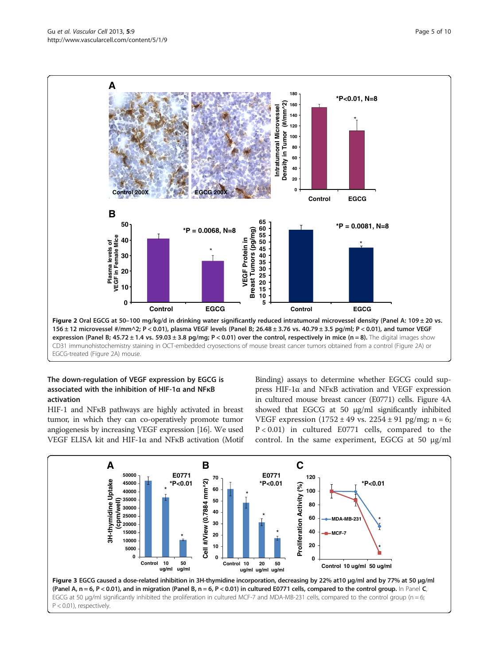<span id="page-4-0"></span>

# The down-regulation of VEGF expression by EGCG is associated with the inhibition of HIF-1α and NFκB activation

HIF-1 and NFκB pathways are highly activated in breast tumor, in which they can co-operatively promote tumor angiogenesis by increasing VEGF expression [\[16\]](#page-8-0). We used VEGF ELISA kit and HIF-1α and NFκB activation (Motif

Binding) assays to determine whether EGCG could suppress HIF-1α and NFκB activation and VEGF expression in cultured mouse breast cancer (E0771) cells. Figure [4A](#page-5-0) showed that EGCG at 50 μg/ml significantly inhibited VEGF expression  $(1752 \pm 49 \text{ vs. } 2254 \pm 91 \text{ pg/mg}; n = 6;$ P < 0.01) in cultured E0771 cells, compared to the control. In the same experiment, EGCG at 50  $\mu$ g/ml

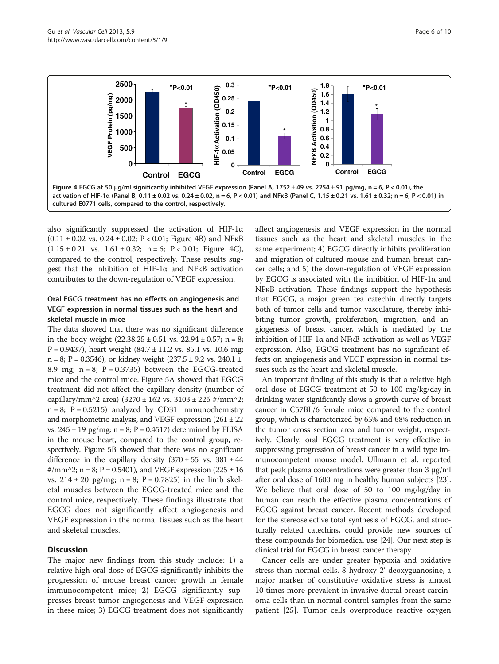<span id="page-5-0"></span>

also significantly suppressed the activation of HIF-1 $\alpha$  $(0.11 \pm 0.02 \text{ vs. } 0.24 \pm 0.02; \text{ P} < 0.01; \text{ Figure 4B})$  and NFKB  $(1.15 \pm 0.21 \text{ vs. } 1.61 \pm 0.32; \text{ n} = 6; \text{ P} < 0.01; \text{ Figure } 4C)$ , compared to the control, respectively. These results suggest that the inhibition of HIF-1α and NFκB activation contributes to the down-regulation of VEGF expression.

# Oral EGCG treatment has no effects on angiogenesis and VEGF expression in normal tissues such as the heart and skeletal muscle in mice

The data showed that there was no significant difference in the body weight  $(22.38.25 \pm 0.51 \text{ vs. } 22.94 \pm 0.57; \text{ n} = 8;$ P = 0.9437), heart weight  $(84.7 \pm 11.2 \text{ vs. } 85.1 \text{ vs. } 10.6 \text{ mg};$  $n = 8$ ; P = 0.3546), or kidney weight (237.5  $\pm$  9.2 vs. 240.1  $\pm$ 8.9 mg;  $n = 8$ ;  $P = 0.3735$ ) between the EGCG-treated mice and the control mice. Figure [5A](#page-6-0) showed that EGCG treatment did not affect the capillary density (number of capillary/mm^2 area) (3270 ± 162 vs. 3103 ± 226 #/mm^2;  $n = 8$ ;  $P = 0.5215$ ) analyzed by CD31 immunochemistry and morphometric analysis, and VEGF expression  $(261 \pm 22)$ vs.  $245 \pm 19$  pg/mg; n = 8; P = 0.4517) determined by ELISA in the mouse heart, compared to the control group, respectively. Figure [5](#page-6-0)B showed that there was no significant difference in the capillary density  $(370 \pm 55 \text{ vs. } 381 \pm 44 \text{ s})$  $\#/mm^2$ ; n = 8; P = 0.5401), and VEGF expression (225 ± 16 vs.  $214 \pm 20$  pg/mg; n = 8; P = 0.7825) in the limb skeletal muscles between the EGCG-treated mice and the control mice, respectively. These findings illustrate that EGCG does not significantly affect angiogenesis and VEGF expression in the normal tissues such as the heart and skeletal muscles.

# **Discussion**

The major new findings from this study include: 1) a relative high oral dose of EGCG significantly inhibits the progression of mouse breast cancer growth in female immunocompetent mice; 2) EGCG significantly suppresses breast tumor angiogenesis and VEGF expression in these mice; 3) EGCG treatment does not significantly

affect angiogenesis and VEGF expression in the normal tissues such as the heart and skeletal muscles in the same experiment; 4) EGCG directly inhibits proliferation and migration of cultured mouse and human breast cancer cells; and 5) the down-regulation of VEGF expression by EGCG is associated with the inhibition of HIF-1α and NFκB activation. These findings support the hypothesis that EGCG, a major green tea catechin directly targets both of tumor cells and tumor vasculature, thereby inhibiting tumor growth, proliferation, migration, and angiogenesis of breast cancer, which is mediated by the inhibition of HIF-1α and NFκB activation as well as VEGF expression. Also, EGCG treatment has no significant effects on angiogenesis and VEGF expression in normal tissues such as the heart and skeletal muscle.

An important finding of this study is that a relative high oral dose of EGCG treatment at 50 to 100 mg/kg/day in drinking water significantly slows a growth curve of breast cancer in C57BL/6 female mice compared to the control group, which is characterized by 65% and 68% reduction in the tumor cross section area and tumor weight, respectively. Clearly, oral EGCG treatment is very effective in suppressing progression of breast cancer in a wild type immunocompetent mouse model. Ullmann et al. reported that peak plasma concentrations were greater than 3 μg/ml after oral dose of 1600 mg in healthy human subjects [\[23](#page-8-0)]. We believe that oral dose of 50 to 100 mg/kg/day in human can reach the effective plasma concentrations of EGCG against breast cancer. Recent methods developed for the stereoselective total synthesis of EGCG, and structurally related catechins, could provide new sources of these compounds for biomedical use [[24](#page-8-0)]. Our next step is clinical trial for EGCG in breast cancer therapy.

Cancer cells are under greater hypoxia and oxidative stress than normal cells. 8-hydroxy-2'-deoxyguanosine, a major marker of constitutive oxidative stress is almost 10 times more prevalent in invasive ductal breast carcinoma cells than in normal control samples from the same patient [\[25\]](#page-8-0). Tumor cells overproduce reactive oxygen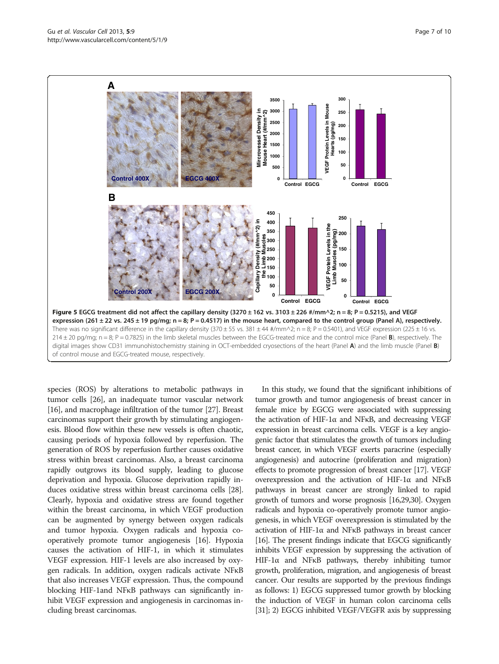<span id="page-6-0"></span>

species (ROS) by alterations to metabolic pathways in tumor cells [[26](#page-8-0)], an inadequate tumor vascular network [[16](#page-8-0)], and macrophage infiltration of the tumor [\[27\]](#page-8-0). Breast carcinomas support their growth by stimulating angiogenesis. Blood flow within these new vessels is often chaotic, causing periods of hypoxia followed by reperfusion. The generation of ROS by reperfusion further causes oxidative stress within breast carcinomas. Also, a breast carcinoma rapidly outgrows its blood supply, leading to glucose deprivation and hypoxia. Glucose deprivation rapidly induces oxidative stress within breast carcinoma cells [[28](#page-8-0)]. Clearly, hypoxia and oxidative stress are found together within the breast carcinoma, in which VEGF production can be augmented by synergy between oxygen radicals and tumor hypoxia. Oxygen radicals and hypoxia cooperatively promote tumor angiogenesis [\[16\]](#page-8-0). Hypoxia causes the activation of HIF-1, in which it stimulates VEGF expression. HIF-1 levels are also increased by oxygen radicals. In addition, oxygen radicals activate NFκB that also increases VEGF expression. Thus, the compound blocking HIF-1and NFκB pathways can significantly inhibit VEGF expression and angiogenesis in carcinomas including breast carcinomas.

In this study, we found that the significant inhibitions of tumor growth and tumor angiogenesis of breast cancer in female mice by EGCG were associated with suppressing the activation of HIF-1α and NFκB, and decreasing VEGF expression in breast carcinoma cells. VEGF is a key angiogenic factor that stimulates the growth of tumors including breast cancer, in which VEGF exerts paracrine (especially angiogenesis) and autocrine (proliferation and migration) effects to promote progression of breast cancer [\[17\]](#page-8-0). VEGF overexpression and the activation of HIF-1α and NFκB pathways in breast cancer are strongly linked to rapid growth of tumors and worse prognosis [\[16,29,30\]](#page-8-0). Oxygen radicals and hypoxia co-operatively promote tumor angiogenesis, in which VEGF overexpression is stimulated by the activation of HIF-1α and NFκB pathways in breast cancer [[16](#page-8-0)]. The present findings indicate that EGCG significantly inhibits VEGF expression by suppressing the activation of HIF-1α and NFκB pathways, thereby inhibiting tumor growth, proliferation, migration, and angiogenesis of breast cancer. Our results are supported by the previous findings as follows: 1) EGCG suppressed tumor growth by blocking the induction of VEGF in human colon carcinoma cells [[31](#page-8-0)]; 2) EGCG inhibited VEGF/VEGFR axis by suppressing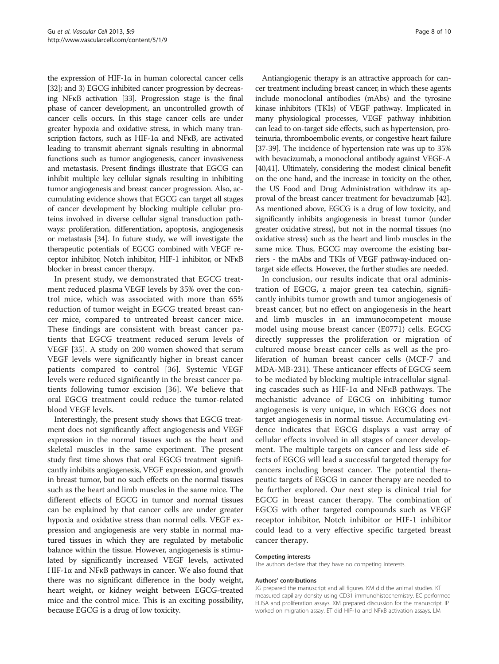the expression of HIF-1α in human colorectal cancer cells [[32](#page-8-0)]; and 3) EGCG inhibited cancer progression by decreasing NFκB activation [[33\]](#page-8-0). Progression stage is the final phase of cancer development, an uncontrolled growth of cancer cells occurs. In this stage cancer cells are under greater hypoxia and oxidative stress, in which many transcription factors, such as  $HIF-I\alpha$  and NFKB, are activated leading to transmit aberrant signals resulting in abnormal functions such as tumor angiogenesis, cancer invasiveness and metastasis. Present findings illustrate that EGCG can inhibit multiple key cellular signals resulting in inhibiting tumor angiogenesis and breast cancer progression. Also, accumulating evidence shows that EGCG can target all stages of cancer development by blocking multiple cellular proteins involved in diverse cellular signal transduction pathways: proliferation, differentiation, apoptosis, angiogenesis or metastasis [\[34](#page-8-0)]. In future study, we will investigate the therapeutic potentials of EGCG combined with VEGF receptor inhibitor, Notch inhibitor, HIF-1 inhibitor, or NFκB blocker in breast cancer therapy.

In present study, we demonstrated that EGCG treatment reduced plasma VEGF levels by 35% over the control mice, which was associated with more than 65% reduction of tumor weight in EGCG treated breast cancer mice, compared to untreated breast cancer mice. These findings are consistent with breast cancer patients that EGCG treatment reduced serum levels of VEGF [\[35](#page-8-0)]. A study on 200 women showed that serum VEGF levels were significantly higher in breast cancer patients compared to control [[36](#page-8-0)]. Systemic VEGF levels were reduced significantly in the breast cancer patients following tumor excision [[36\]](#page-8-0). We believe that oral EGCG treatment could reduce the tumor-related blood VEGF levels.

Interestingly, the present study shows that EGCG treatment does not significantly affect angiogenesis and VEGF expression in the normal tissues such as the heart and skeletal muscles in the same experiment. The present study first time shows that oral EGCG treatment significantly inhibits angiogenesis, VEGF expression, and growth in breast tumor, but no such effects on the normal tissues such as the heart and limb muscles in the same mice. The different effects of EGCG in tumor and normal tissues can be explained by that cancer cells are under greater hypoxia and oxidative stress than normal cells. VEGF expression and angiogenesis are very stable in normal matured tissues in which they are regulated by metabolic balance within the tissue. However, angiogenesis is stimulated by significantly increased VEGF levels, activated HIF-1 $\alpha$  and NF<sub>K</sub>B pathways in cancer. We also found that there was no significant difference in the body weight, heart weight, or kidney weight between EGCG-treated mice and the control mice. This is an exciting possibility, because EGCG is a drug of low toxicity.

Antiangiogenic therapy is an attractive approach for cancer treatment including breast cancer, in which these agents include monoclonal antibodies (mAbs) and the tyrosine kinase inhibitors (TKIs) of VEGF pathway. Implicated in many physiological processes, VEGF pathway inhibition can lead to on-target side effects, such as hypertension, proteinuria, thromboembolic events, or congestive heart failure [[37](#page-8-0)-[39\]](#page-8-0). The incidence of hypertension rate was up to 35% with bevacizumab, a monoclonal antibody against VEGF-A [[40](#page-8-0)[,41\]](#page-9-0). Ultimately, considering the modest clinical benefit on the one hand, and the increase in toxicity on the other, the US Food and Drug Administration withdraw its approval of the breast cancer treatment for bevacizumab [\[42](#page-9-0)]. As mentioned above, EGCG is a drug of low toxicity, and significantly inhibits angiogenesis in breast tumor (under greater oxidative stress), but not in the normal tissues (no oxidative stress) such as the heart and limb muscles in the same mice. Thus, EGCG may overcome the existing barriers - the mAbs and TKIs of VEGF pathway-induced ontarget side effects. However, the further studies are needed.

In conclusion, our results indicate that oral administration of EGCG, a major green tea catechin, significantly inhibits tumor growth and tumor angiogenesis of breast cancer, but no effect on angiogenesis in the heart and limb muscles in an immunocompetent mouse model using mouse breast cancer (E0771) cells. EGCG directly suppresses the proliferation or migration of cultured mouse breast cancer cells as well as the proliferation of human breast cancer cells (MCF-7 and MDA-MB-231). These anticancer effects of EGCG seem to be mediated by blocking multiple intracellular signaling cascades such as HIF-1 $\alpha$  and NFKB pathways. The mechanistic advance of EGCG on inhibiting tumor angiogenesis is very unique, in which EGCG does not target angiogenesis in normal tissue. Accumulating evidence indicates that EGCG displays a vast array of cellular effects involved in all stages of cancer development. The multiple targets on cancer and less side effects of EGCG will lead a successful targeted therapy for cancers including breast cancer. The potential therapeutic targets of EGCG in cancer therapy are needed to be further explored. Our next step is clinical trial for EGCG in breast cancer therapy. The combination of EGCG with other targeted compounds such as VEGF receptor inhibitor, Notch inhibitor or HIF-1 inhibitor could lead to a very effective specific targeted breast cancer therapy.

#### Competing interests

The authors declare that they have no competing interests.

#### Authors' contributions

JG prepared the manuscript and all figures. KM did the animal studies. KT measured capillary density using CD31 immunohistochemistry. EC performed ELISA and proliferation assays. XM prepared discussion for the manuscript. IP worked on migration assay. ET did HIF-1α and NFκB activation assays. LM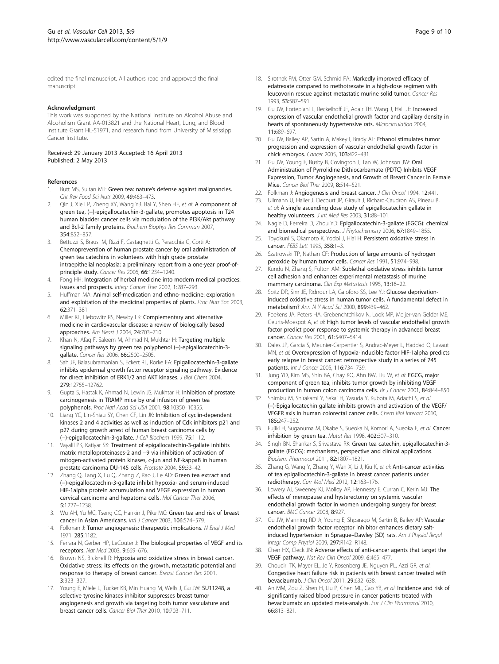<span id="page-8-0"></span>edited the final manuscript. All authors read and approved the final manuscript.

#### Acknowledgment

This work was supported by the National Institute on Alcohol Abuse and Alcoholism Grant AA-013821 and the National Heart, Lung, and Blood Institute Grant HL-51971, and research fund from University of Mississippi Cancer Institute.

#### Received: 29 January 2013 Accepted: 16 April 2013 Published: 2 May 2013

#### References

- Butt MS, Sultan MT: Green tea: nature's defense against malignancies. Crit Rev Food Sci Nutr 2009, 49:463–473.
- 2. Qin J, Xie LP, Zheng XY, Wang YB, Bai Y, Shen HF, et al: A component of green tea, (−)-epigallocatechin-3-gallate, promotes apoptosis in T24 human bladder cancer cells via modulation of the PI3K/Akt pathway and Bcl-2 family proteins. Biochem Biophys Res Commun 2007, 354:852–857.
- 3. Bettuzzi S, Brausi M, Rizzi F, Castagnetti G, Peracchia G, Corti A: Chemoprevention of human prostate cancer by oral administration of green tea catechins in volunteers with high grade prostate intraepithelial neoplasia: a preliminary report from a one-year proof-ofprinciple study. Cancer Res 2006, 66:1234–1240.
- 4. Fong HH: Integration of herbal medicine into modern medical practices: issues and prospects. Integr Cancer Ther 2002, 1:287–293.
- 5. Huffman MA: Animal self-medication and ethno-medicine: exploration and exploitation of the medicinal properties of plants. Proc Nutr Soc 2003, 62:371–381.
- 6. Miller KL, Liebowitz RS, Newby LK: Complementary and alternative medicine in cardiovascular disease: a review of biologically based approaches. Am Heart J 2004, 24:703–710.
- 7. Khan N, Afaq F, Saleem M, Ahmad N, Mukhtar H: Targeting multiple signaling pathways by green tea polyphenol (−)-epigallocatechin-3 gallate. Cancer Res 2006, 66:2500–2505.
- Sah JF, Balasubramanian S, Eckert RL, Rorke EA: Epigallocatechin-3-gallate inhibits epidermal growth factor receptor signaling pathway. Evidence for direct inhibition of ERK1/2 and AKT kinases. J Biol Chem 2004, 279:12755–12762.
- 9. Gupta S, Hastak K, Ahmad N, Lewin JS, Mukhtar H: Inhibition of prostate carcinogenesis in TRAMP mice by oral infusion of green tea polyphenols. Proc Natl Acad Sci USA 2001, 98:10350–10355.
- 10. Liang YC, Lin-Shiau SY, Chen CF, Lin JK: Inhibition of cyclin-dependent kinases 2 and 4 activities as well as induction of Cdk inhibitors p21 and p27 during growth arrest of human breast carcinoma cells by (−)-epigallocatechin-3-gallate. J Cell Biochem 1999, 75:1–12.
- 11. Vayalil PK, Katiyar SK: Treatment of epigallocatechin-3-gallate inhibits matrix metalloproteinases-2 and −9 via inhibition of activation of mitogen-activated protein kinases, c-jun and NF-kappaB in human prostate carcinoma DU-145 cells. Prostate 2004, 59:33–42.
- 12. Zhang Q, Tang X, Lu Q, Zhang Z, Rao J, Le AD: Green tea extract and (−)-epigallocatechin-3-gallate inhibit hypoxia- and serum-induced HIF-1alpha protein accumulation and VEGF expression in human cervical carcinoma and hepatoma cells. Mol Cancer Ther 2006, 5:1227–1238.
- 13. Wu AH, Yu MC, Tseng CC, Hankin J, Pike MC: Green tea and risk of breast cancer in Asian Americans. Intl J Cancer 2003, 106:574–579.
- 14. Folkman J: Tumor angiogenesis: therapeutic implications. N Engl J Med 1971, 285:1182.
- 15. Ferrara N, Gerber HP, LeCouter J: The biological properties of VEGF and its receptors. Nat Med 2003, 9:669–676.
- 16. Brown NS, Bicknell R: Hypoxia and oxidative stress in breast cancer. Oxidative stress: its effects on the growth, metastatic potential and response to therapy of breast cancer. Breast Cancer Res 2001, 3:323–327.
- 17. Young E, Miele L, Tucker KB, Min Huang M, Wells J, Gu JW: SU11248, a selective tyrosine kinases inhibitor suppresses breast tumor angiogenesis and growth via targeting both tumor vasculature and breast cancer cells. Cancer Biol Ther 2010, 10:703–711.
- 18. Sirotnak FM, Otter GM, Schmid FA: Markedly improved efficacy of edatrexate compared to methotrexate in a high-dose regimen with leucovorin rescue against metastatic murine solid tumor. Cancer Res 1993, 53:587–591.
- 19. Gu JW, Fortepiani L, Reckelhoff JF, Adair TH, Wang J, Hall JE: Increased expression of vascular endothelial growth factor and capillary density in hearts of spontaneously hypertensive rats. Microcirculation 2004, 11:689–697.
- 20. Gu JW, Bailey AP, Sartin A, Makey I, Brady AL: Ethanol stimulates tumor progression and expression of vascular endothelial growth factor in chick embryos. Cancer 2005, 103:422–431.
- 21. Gu JW, Young E, Busby B, Covington J, Tan W, Johnson JW: Oral Administration of Pyrrolidine Dithiocarbamate (PDTC) Inhibits VEGF Expression, Tumor Angiogenesis, and Growth of Breast Cancer in Female Mice. Cancer Biol Ther 2009, 8:514–521.
- 22. Folkman J: Angiogenesis and breast cancer. J Clin Oncol 1994, 12:441.
- 23. Ullmann U, Haller J, Decourt JP, Girault J, Richard-Caudron AS, Pineau B, et al: A single ascending dose study of epigallocatechin gallate in healthy volunteers. J Int Med Res 2003, 31:88–101.
- 24. Nagle D, Ferreira D, Zhou YD: Epigallocatechin-3-gallate (EGCG): chemical and biomedical perspectives. J Phytochemistry 2006, 67:1849–1855.
- 25. Toyokuni S, Okamoto K, Yodoi J, Hiai H: Persistent oxidative stress in cancer. FEBS Lett 1995, 358:1-3.
- 26. Szatrowski TP, Nathan CF: Production of large amounts of hydrogen peroxide by human tumor cells. Cancer Res 1991, 51:974–998.
- 27. Kundu N, Zhang S, Fulton AM: Sublethal oxidative stress inhibits tumor cell adhesion and enhances experimental metastasis of murine mammary carcinoma. Clin Exp Metastasis 1995, 13:16-22.
- Spitz DR, Sim JE, Ridnour LA, Galoforo SS, Lee YJ: Glucose deprivationinduced oxidative stress in human tumor cells. A fundamental defect in metabolism? Ann N Y Acad Sci 2000, 899:439–462.
- 29. Foekens JA, Peters HA, Grebenchtchikov N, Look MP, Meijer-van Gelder ME, Geurts-Moespot A, et al: High tumor levels of vascular endothelial growth factor predict poor response to systemic therapy in advanced breast cancer. Cancer Res 2001, 61:5407–5414.
- 30. Dales JP, Garcia S, Meunier-Carpentier S, Andrac-Meyer L, Haddad O, Lavaut MN, et al: Overexpression of hypoxia-inducible factor HIF-1alpha predicts early relapse in breast cancer: retrospective study in a series of 745 patients. Int J Cancer 2005, 116:734–739.
- 31. Jung YD, Kim MS, Shin BA, Chay KO, Ahn BW, Liu W, et al: EGCG, major component of green tea, inhibits tumor growth by inhibiting VEGF production in human colon carcinoma cells. Br J Cancer 2001, 84:844-850.
- Shimizu M, Shirakami Y, Sakai H, Yasuda Y, Kubota M, Adachi S, et al: (−)-Epigallocatechin gallate inhibits growth and activation of the VEGF/ VEGFR axis in human colorectal cancer cells. Chem Biol Interact 2010, 185:247–252.
- 33. Fujiki H, Suganuma M, Okabe S, Sueoka N, Komori A, Sueoka E, et al: Cancer inhibition by green tea. Mutat Res 1998, 402:307–310.
- 34. Singh BN, Shankar S, Srivastava RK: Green tea catechin, epigallocatechin-3 gallate (EGCG): mechanisms, perspective and clinical applications. Biochem Pharmacol 2011, 82:1807–1821.
- 35. Zhang G, Wang Y, Zhang Y, Wan X, Li J, Kiu K, et al: Anti-cancer activities of tea epigallocatechin-3-gallate in breast cancer patients under radiotherapy. Curr Mol Med 2012, 12:163–176.
- 36. Lowery AJ, Sweeney KJ, Molloy AP, Hennessy E, Curran C, Kerin MJ: The effects of menopause and hysterectomy on systemic vascular endothelial growth factor in women undergoing surgery for breast cancer. BMC Cancer 2008, 8:927.
- 37. Gu JW, Manning RD Jr, Young E, Shparago M, Sartin B, Bailey AP: Vascular endothelial growth factor receptor inhibitor enhances dietary saltinduced hypertension in Sprague–Dawley (SD) rats. Am J Physiol Regul Integr Comp Physiol 2009, 297:R142–R148.
- 38. Chen HX, Cleck JN: Adverse effects of anti-cancer agents that target the VEGF pathway. Nat Rev Clin Oncol 2009, 6:465-477
- 39. Choueiri TK, Mayer EL, Je Y, Rosenberg JE, Nguyen PL, Azzi GR, et al: Congestive heart failure risk in patients with breast cancer treated with bevacizumab. J Clin Oncol 2011, 29:632–638.
- 40. An MM, Zou Z, Shen H, Liu P, Chen ML, Cao YB, et al: Incidence and risk of significantly raised blood pressure in cancer patients treated with bevacizumab: an updated meta-analysis. Eur J Clin Pharmacol 2010, 66:813–821.